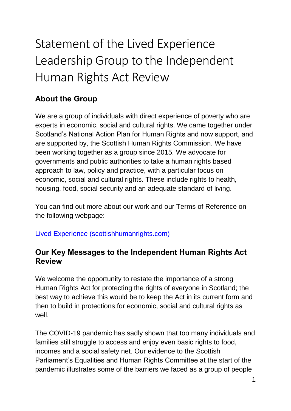## Statement of the Lived Experience Leadership Group to the Independent Human Rights Act Review

## **About the Group**

We are a group of individuals with direct experience of poverty who are experts in economic, social and cultural rights. We came together under Scotland's National Action Plan for Human Rights and now support, and are supported by, the Scottish Human Rights Commission. We have been working together as a group since 2015. We advocate for governments and public authorities to take a human rights based approach to law, policy and practice, with a particular focus on economic, social and cultural rights. These include rights to health, housing, food, social security and an adequate standard of living.

You can find out more about our work and our Terms of Reference on the following webpage:

[Lived Experience \(scottishhumanrights.com\)](https://www.scottishhumanrights.com/about/lived-experience/)

## **Our Key Messages to the Independent Human Rights Act Review**

We welcome the opportunity to restate the importance of a strong Human Rights Act for protecting the rights of everyone in Scotland; the best way to achieve this would be to keep the Act in its current form and then to build in protections for economic, social and cultural rights as well.

The COVID-19 pandemic has sadly shown that too many individuals and families still struggle to access and enjoy even basic rights to food, incomes and a social safety net. Our evidence to the Scottish Parliament's Equalities and Human Rights Committee at the start of the pandemic illustrates some of the barriers we faced as a group of people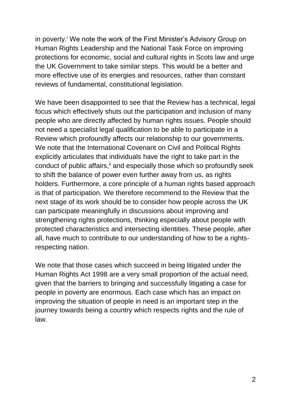in poverty.<sup>*i*</sup> We note the work of the First Minister's Advisory Group on Human Rights Leadership and the National Task Force on improving protections for economic, social and cultural rights in Scots law and urge the UK Government to take similar steps. This would be a better and more effective use of its energies and resources, rather than constant reviews of fundamental, constitutional legislation.

We have been disappointed to see that the Review has a technical, legal focus which effectively shuts out the participation and inclusion of many people who are directly affected by human rights issues. People should not need a specialist legal qualification to be able to participate in a Review which profoundly affects our relationship to our governments. We note that the International Covenant on Civil and Political Rights explicitly articulates that individuals have the right to take part in the conduct of public affairs,<sup>ii</sup> and especially those which so profoundly seek to shift the balance of power even further away from us, as rights holders. Furthermore, a core principle of a human rights based approach is that of participation. We therefore recommend to the Review that the next stage of its work should be to consider how people across the UK can participate meaningfully in discussions about improving and strengthening rights protections, thinking especially about people with protected characteristics and intersecting identities. These people, after all, have much to contribute to our understanding of how to be a rightsrespecting nation.

We note that those cases which succeed in being litigated under the Human Rights Act 1998 are a very small proportion of the actual need, given that the barriers to bringing and successfully litigating a case for people in poverty are enormous. Each case which has an impact on improving the situation of people in need is an important step in the journey towards being a country which respects rights and the rule of law.